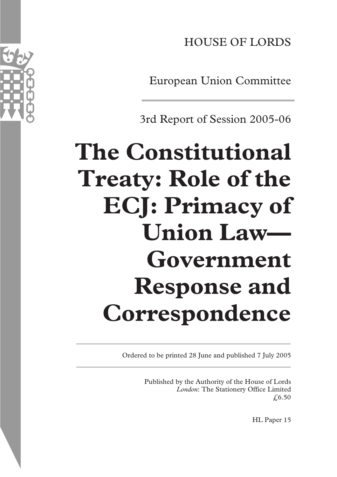HOUSE OF LORDS

European Union Committee

3rd Report of Session 2005-06

# **The Constitutional Treaty: Role of the ECJ: Primacy of Union Law— Government Response and Correspondence**

Ordered to be printed 28 June and published 7 July 2005

Published by the Authority of the House of Lords *London*: The Stationery Office Limited  $£6.50$ 

HL Paper 15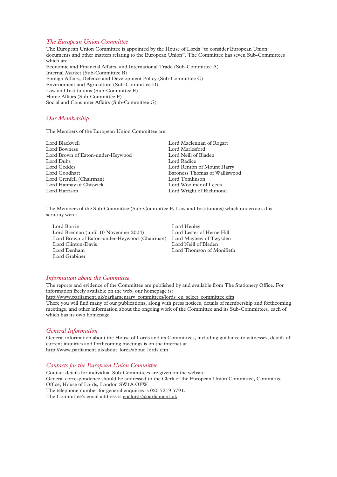# *The European Union Committee*

The European Union Committee is appointed by the House of Lords "to consider European Union documents and other matters relating to the European Union". The Committee has seven Sub-Committees which are: Economic and Financial Affairs, and International Trade (Sub-Committee A) Internal Market (Sub-Committee B) Foreign Affairs, Defence and Development Policy (Sub-Committee C) Environment and Agriculture (Sub-Committee D) Law and Institutions (Sub-Committee E) Home Affairs (Sub-Committee F) Social and Consumer Affairs (Sub-Committee G)

# *Our Membership*

The Members of the European Union Committee are:

| Lord Blackwell                    | Lord Maclennan of Rogart      |
|-----------------------------------|-------------------------------|
| Lord Bowness                      | Lord Marlesford               |
| Lord Brown of Eaton-under-Heywood | Lord Neill of Bladen          |
| Lord Dubs                         | Lord Radice                   |
| Lord Geddes                       | Lord Renton of Mount Harry    |
| Lord Goodhart                     | Baroness Thomas of Walliswood |
| Lord Grenfell (Chairman)          | Lord Tomlinson                |
| Lord Hannay of Chiswick           | Lord Woolmer of Leeds         |
| Lord Harrison                     | Lord Wright of Richmond       |
|                                   |                               |

The Members of the Sub-Committee (Sub-Committee E, Law and Institutions) which undertook this scrutiny were:

| Lord Borrie                                  | Lord Henley               |
|----------------------------------------------|---------------------------|
| Lord Brennan (until 10 November 2004)        | Lord Lester of Herne Hill |
| Lord Brown of Eaton-under-Heywood (Chairman) | Lord Mayhew of Twysden    |
| Lord Clinton-Davis                           | Lord Neill of Bladen      |
| Lord Denham                                  | Lord Thomson of Monifieth |
| Lord Grabiner                                |                           |

# *Information about the Committee*

The reports and evidence of the Committee are published by and available from The Stationery Office. For information freely available on the web, our homepage is: http://www.parliament.uk/parliamentary\_committees/lords\_eu\_select\_committee.cfm There you will find many of our publications, along with press notices, details of membership and forthcoming meetings, and other information about the ongoing work of the Committee and its Sub-Committees, each of which has its own homepage.

# *General Information*

General information about the House of Lords and its Committees, including guidance to witnesses, details of current inquiries and forthcoming meetings is on the internet at http://www.parliament.uk/about\_lords/about\_lords.cfm

#### *Contacts for the European Union Committee*

Contact details for individual Sub-Committees are given on the website. General correspondence should be addressed to the Clerk of the European Union Committee, Committee Office, House of Lords, London SW1A OPW The telephone number for general enquiries is 020 7219 5791. The Committee's email address is euclords@parliament.uk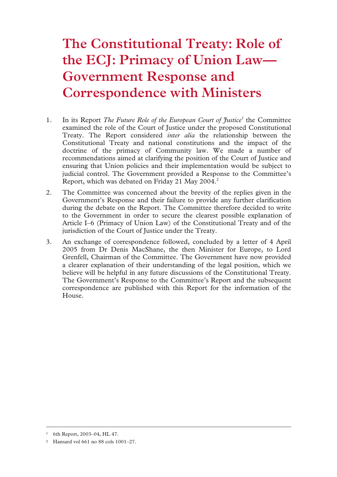# **The Constitutional Treaty: Role of the ECJ: Primacy of Union Law— Government Response and Correspondence with Ministers**

- 1. In its Report *The Future Role of the European Court of Justice<sup>1</sup>* the Committee examined the role of the Court of Justice under the proposed Constitutional Treaty. The Report considered *inter alia* the relationship between the Constitutional Treaty and national constitutions and the impact of the doctrine of the primacy of Community law. We made a number of recommendations aimed at clarifying the position of the Court of Justice and ensuring that Union policies and their implementation would be subject to judicial control. The Government provided a Response to the Committee's Report, which was debated on Friday 21 May 2004.<sup>2</sup>
- 2. The Committee was concerned about the brevity of the replies given in the Government's Response and their failure to provide any further clarification during the debate on the Report. The Committee therefore decided to write to the Government in order to secure the clearest possible explanation of Article I–6 (Primacy of Union Law) of the Constitutional Treaty and of the jurisdiction of the Court of Justice under the Treaty.
- 3. An exchange of correspondence followed, concluded by a letter of 4 April 2005 from Dr Denis MacShane, the then Minister for Europe, to Lord Grenfell, Chairman of the Committee. The Government have now provided a clearer explanation of their understanding of the legal position, which we believe will be helpful in any future discussions of the Constitutional Treaty. The Government's Response to the Committee's Report and the subsequent correspondence are published with this Report for the information of the House.

 <sup>1 6</sup>th Report, 2003–04, HL 47.

<sup>2</sup> Hansard vol 661 no 88 cols 1001–27.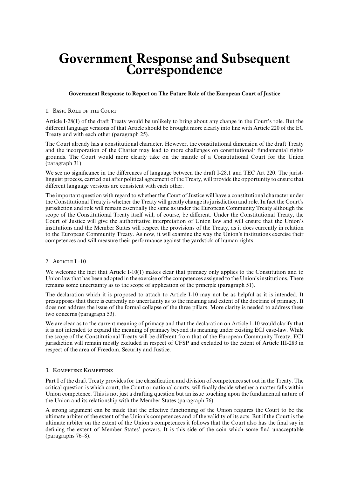# **Government Response and Subsequent Correspondence**

# **Government Response to Report on The Future Role of the European Court of Justice**

# 1. Basic Role of the Court

Article I-28(1) of the draft Treaty would be unlikely to bring about any change in the Court's role. But the different language versions of that Article should be brought more clearly into line with Article 220 of the EC Treaty and with each other (paragraph 25).

The Court already has a constitutional character. However, the constitutional dimension of the draft Treaty and the incorporation of the Charter may lead to more challenges on constitutional/ fundamental rights grounds. The Court would more clearly take on the mantle of a Constitutional Court for the Union (paragraph 31).

We see no significance in the differences of language between the draft I-28.1 and TEC Art 220. The juristlinguist process, carried out after political agreement of the Treaty, will provide the opportunity to ensure that different language versions are consistent with each other.

The important question with regard to whether the Court of Justice will have a constitutional character under the Constitutional Treaty is whether the Treaty will greatly change its jurisdiction and role. In fact the Court's jurisdiction and role will remain essentially the same as under the European Community Treaty although the scope of the Constitutional Treaty itself will, of course, be different. Under the Constitutional Treaty, the Court of Justice will give the authoritative interpretation of Union law and will ensure that the Union's institutions and the Member States will respect the provisions of the Treaty, as it does currently in relation to the European Community Treaty. As now, it will examine the way the Union's institutions exercise their competences and will measure their performance against the yardstick of human rights.

# 2. Article I -10

We welcome the fact that Article I-10(1) makes clear that primacy only applies to the Constitution and to Union law that has been adopted in the exercise of the competences assigned to the Union's institutions. There remains some uncertainty as to the scope of application of the principle (paragraph 51).

The declaration which it is proposed to attach to Article I-10 may not be as helpful as it is intended. It presupposes that there is currently no uncertainty as to the meaning and extent of the doctrine of primacy. It does not address the issue of the formal collapse of the three pillars. More clarity is needed to address these two concerns (paragraph 53).

We are clear as to the current meaning of primacy and that the declaration on Article 1-10 would clarify that it is not intended to expand the meaning of primacy beyond its meaning under existing ECJ case-law. While the scope of the Constitutional Treaty will be different from that of the European Community Treaty, ECJ jurisdiction will remain mostly excluded in respect of CFSP and excluded to the extent of Article III-283 in respect of the area of Freedom, Security and Justice.

# 3. Kompetenz Kompetenz

Part I of the draft Treaty provides for the classification and division of competences set out in the Treaty. The critical question is which court, the Court or national courts, will finally decide whether a matter falls within Union competence. This is not just a drafting question but an issue touching upon the fundamental nature of the Union and its relationship with the Member States (paragraph 76).

A strong argument can be made that the effective functioning of the Union requires the Court to be the ultimate arbiter of the extent of the Union's competences and of the validity of its acts. But if the Court is the ultimate arbiter on the extent of the Union's competences it follows that the Court also has the final say in defining the extent of Member States' powers. It is this side of the coin which some find unacceptable (paragraphs 76–8).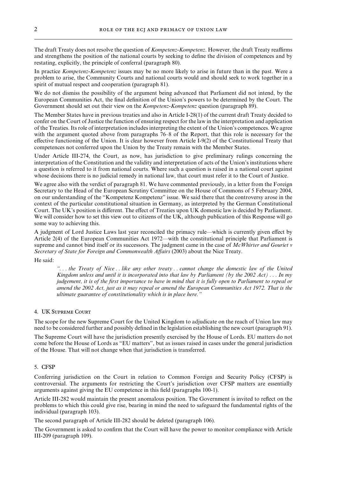The draft Treaty does not resolve the question of *Kompetenz-Kompetenz*. However, the draft Treaty reaffirms and strengthens the position of the national courts by seeking to define the division of competences and by restating, explicitly, the principle of conferral (paragraph 80).

In practice *Kompetenz-Kompetenz* issues may be no more likely to arise in future than in the past. Were a problem to arise, the Community Courts and national courts would and should seek to work together in a spirit of mutual respect and cooperation (paragraph 81).

We do not dismiss the possibility of the argument being advanced that Parliament did not intend, by the European Communities Act, the final definition of the Union's powers to be determined by the Court. The Government should set out their view on the *Kompetenz-Kompetenz* question (paragraph 89).

The Member States have in previous treaties and also in Article I-28(1) of the current draft Treaty decided to confer on the Court of Justice the function of ensuring respect for the law in the interpretation and application of the Treaties. Its role of interpretation includes interpreting the extent of the Union's competences. We agree with the argument quoted above from paragraphs 76–8 of the Report, that this role is necessary for the effective functioning of the Union. It is clear however from Article  $I-9(2)$  of the Constitutional Treaty that competences not conferred upon the Union by the Treaty remain with the Member States.

Under Article III-274, the Court, as now, has jurisdiction to give preliminary rulings concerning the interpretation of the Constitution and the validity and interpretation of acts of the Union's institutions where a question is referred to it from national courts. Where such a question is raised in a national court against whose decisions there is no judicial remedy in national law, that court must refer it to the Court of Justice.

We agree also with the verdict of paragraph 81. We have commented previously, in a letter from the Foreign Secretary to the Head of the European Scrutiny Committee on the House of Commons of 5 February 2004, on our understanding of the "Kompetenz Kompetenz" issue. We said there that the controversy arose in the context of the particular constitutional situation in Germany, as interpreted by the German Constitutional Court. The UK's position is different. The effect of Treaties upon UK domestic law is decided by Parliament. We will consider how to set this view out to citizens of the UK, although publication of this Response will go some way to achieving this.

A judgment of Lord Justice Laws last year reconciled the primacy rule—which is currently given effect by Article 2(4) of the European Communities Act 1972—with the constitutional principle that Parliament is supreme and cannot bind itself or its successors. The judgment came in the case of *McWhirter and Gouriet v Secretary of State for Foreign and Commonwealth Affairs* (2003) about the Nice Treaty.

He said:

*"...the Treaty of Nice ..like any other treaty ..cannot change the domestic law of the United Kingdom unless and until it is incorporated into that law by Parliament (by the 2002 Act) ...In my judgement, it is of the first importance to have in mind that it is fully open to Parliament to repeal or amend the 2002 Act, just as it may repeal or amend the European Communities Act 1972.That is the ultimate guarantee of constitutionality which is in place here."*

#### 4. UK Supreme Court

The scope for the new Supreme Court for the United Kingdom to adjudicate on the reach of Union law may need to be considered further and possibly defined in the legislation establishing the new court (paragraph 91).

The Supreme Court will have the jurisdiction presently exercised by the House of Lords. EU matters do not come before the House of Lords as "EU matters", but as issues raised in cases under the general jurisdiction of the House. That will not change when that jurisdiction is transferred.

#### 5. CFSP

Conferring jurisdiction on the Court in relation to Common Foreign and Security Policy (CFSP) is controversial. The arguments for restricting the Court's jurisdiction over CFSP matters are essentially arguments against giving the EU competence in this field (paragraphs 100-1).

Article III-282 would maintain the present anomalous position. The Government is invited to reflect on the problems to which this could give rise, bearing in mind the need to safeguard the fundamental rights of the individual (paragraph 103).

The second paragraph of Article III-282 should be deleted (paragraph 106).

The Government is asked to confirm that the Court will have the power to monitor compliance with Article III-209 (paragraph 109).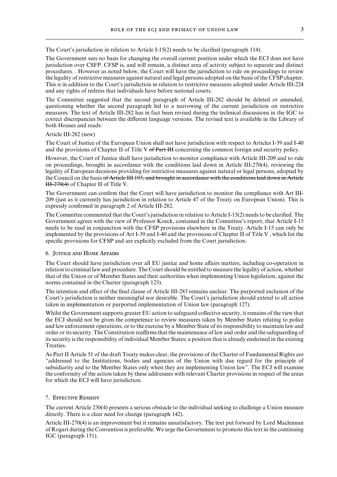The Court's jurisdiction in relation to Article I-15(2) needs to be clarified (paragraph 114).

The Government sees no basis for changing the overall current position under which the ECJ does not have jurisdiction over CSFP. CFSP is, and will remain, a distinct area of activity subject to separate and distinct procedures. . However as noted below, the Court will have the jurisdiction to rule on proceedings to review the legality of restrictive measures against natural and legal persons adopted on the basis of the CFSP chapter. This is in addition to the Court's jurisdiction in relation to restrictive measures adopted under Article III-224 and any rights of redress that individuals have before national courts.

The Committee suggested that the second paragraph of Article III-282 should be deleted or amended, questioning whether the second paragraph led to a narrowing of the current jurisdiction on restrictive measures. The text of Article III-282 has in fact been revised during the technical discussions in the IGC to correct discrepancies between the different language versions. The revised text is available in the Library of both Houses and reads:

#### Article III-282 (new)

The Court of Justice of the European Union shall not have jurisdiction with respect to Articles I-39 and I-40 and the provisions of Chapter II of Title V of Part III concerning the common foreign and security policy.

However, the Court of Justice shall have jurisdiction to monitor compliance with Article III-209 and to rule on proceedings, brought in accordance with the conditions laid down in Article III-270(4), reviewing the legality of European decisions providing for restrictive measures against natural or legal persons, adopted by the Council on the basis of Article III 193, and brought in accordance with the conditions laid down in Article HH-270(4) of Chapter II of Title V.

The Government can confirm that the Court will have jurisdiction to monitor the compliance with Art III-209 (just as it currently has jurisdiction in relation to Article 47 of the Treaty on European Union). This is expressly confirmed in paragraph 2 of Article III-282.

The Committee commented that the Court's jurisdiction in relation to Article I-15(2) needs to be clarified. The Government agrees with the view of Professor Koeck, contained in the Committee's report, that Article I-15 needs to be read in conjunction with the CFSP provisions elsewhere in the Treaty. Article I-15 can only be implemented by the provisions of Art I-39 and I-40 and the provisions of Chapter II of Title V , which list the specific provisions for CFSP and are explicitly excluded from the Court jurisdiction.

# 6. Justice and Home Affairs

The Court should have jurisdiction over all EU justice and home affairs matters, including co-operation in relation to criminal law and procedure. The Court should be entitled to measure the legality of action, whether that of the Union or of Member States and their authorities when implementing Union legislation, against the norms contained in the Charter (paragraph 123).

The intention and effect of the final clause of Article III-283 remains unclear. The purported exclusion of the Court's jurisdiction is neither meaningful nor desirable. The Court's jurisdiction should extend to all action taken in implementation or purported implementation of Union law (paragraph 127).

Whilst the Government supports greater EU action to safeguard collective security, it remains of the view that the ECJ should not be given the competence to review measures taken by Member States relating to police and law enforcement operations, or to the exercise by a Member State of its responsibility to maintain law and order or its security. The Constitution reaffirms that the maintenance of law and order and the safeguarding of its security is the responsibility of individual Member States; a position that is already enshrined in the existing Treaties.

As Part II Article 51 of the draft Treaty makes clear, the provisions of the Charter of Fundamental Rights are "addressed to the Institutions, bodies and agencies of the Union with due regard for the principle of subsidiarity and to the Member States only when they are implementing Union law". The ECJ will examine the conformity of the action taken by these addressees with relevant Charter provisions in respect of the areas for which the ECJ will have jurisdiction.

#### 7. Effective Remedy

The current Article 230(4) presents a serious obstacle to the individual seeking to challenge a Union measure directly. There is a clear need for change (paragraph 142).

Article III-270(4) is an improvement but it remains unsatisfactory. The text put forward by Lord Maclennan of Rogart during the Convention is preferable. We urge the Government to promote this text in the continuing IGC (paragraph 151).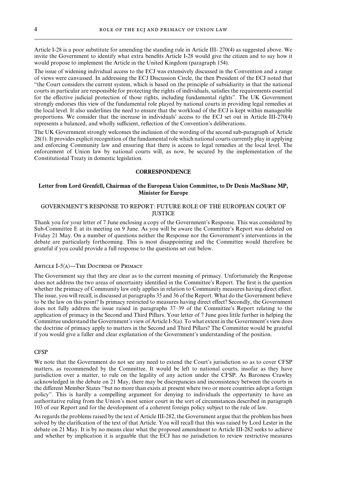Article I-28 is a poor substitute for amending the standing rule in Article III- 270(4) as suggested above. We invite the Government to identify what extra benefits Article I-28 would give the citizen and to say how it would propose to implement the Article in the United Kingdom (paragraph 154).

The issue of widening individual access to the ECJ was extensively discussed in the Convention and a range of views were canvassed. In addressing the ECJ Discussion Circle, the then President of the ECJ noted that "the Court considers the current system, which is based on the principle of subsidiarity in that the national courts in particular are responsible for protecting the rights of individuals, satisfies the requirements essential for the effective judicial protection of those rights, including fundamental rights". The UK Government strongly endorses this view of the fundamental role played by national courts in providing legal remedies at the local level. It also underlines the need to ensure that the workload of the ECJ is kept within manageable proportions. We consider that the increase in individuals' access to the ECJ set out in Article III-270(4) represents a balanced, and wholly sufficient, reflection of the Convention's deliberations.

The UK Government strongly welcomes the inclusion of the wording of the second sub-paragraph of Article 28(1). It provides explicit recognition of the fundamental role which national courts currently play in applying and enforcing Community law and ensuring that there is access to legal remedies at the local level. The enforcement of Union law by national courts will, as now, be secured by the implementation of the Constitutional Treaty in domestic legislation.

#### **CORRESPONDENCE**

# **Letter from Lord Grenfell, Chairman of the European Union Committee, to Dr Denis MacShane MP, Minister for Europe**

# GOVERNMENT'S RESPONSE TO REPORT: FUTURE ROLE OF THE EUROPEAN COURT OF **IUSTICE**

Thank you for your letter of 7 June enclosing a copy of the Government's Response. This was considered by Sub-Committee E at its meeting on 9 June. As you will be aware the Committee's Report was debated on Friday 21 May. On a number of questions neither the Response nor the Government's interventions in the debate are particularly forthcoming. This is most disappointing and the Committee would therefore be grateful if you could provide a full response to the questions set out below.

# ARTICLE I-5(A)—THE DOCTRINE OF PRIMACY

The Government say that they are clear as to the current meaning of primacy. Unfortunately the Response does not address the two areas of uncertainty identified in the Committee's Report. The first is the question whether the primacy of Community law only applies in relation to Community measures having direct effect. The issue, you will recall, is discussed at paragraphs 35 and 36 of the Report. What do the Government believe to be the law on this point? Is primacy restricted to measures having direct effect? Secondly, the Government does not fully address the issue raised in paragraphs 37–39 of the Committee's Report relating to the application of primacy in the Second and Third Pillars. Your letter of 7 June goes little further in helping the Committee understand the Government's view of Article I-5(a). To what extent in the Government's view does the doctrine of primacy apply to matters in the Second and Third Pillars? The Committee would be grateful if you would give a fuller and clear explanation of the Government's understanding of the position.

# CFSP

We note that the Government do not see any need to extend the Court's jurisdiction so as to cover CFSP matters, as recommended by the Committee. It would be left to national courts, insofar as they have jurisdiction over a matter, to rule on the legality of any action under the CFSP. As Baroness Crawley acknowledged in the debate on 21 May, there may be discrepancies and inconsistency between the courts in the different Member States "but no more than exists at present where two or more countries adopt a foreign policy". This is hardly a compelling argument for denying to individuals the opportunity to have an authoritative ruling from the Union's most senior court in the sort of circumstances described in paragraph 103 of our Report and for the development of a coherent foreign policy subject to the rule of law.

As regards the problems raised by the text of Article III-282, the Government argue that the problem has been solved by the clarification of the text of that Article. You will recall that this was raised by Lord Lester in the debate on 21 May. It is by no means clear what the proposed amendment to Article III-282 seeks to achieve and whether by implication it is arguable that the ECJ has no jurisdiction to review restrictive measures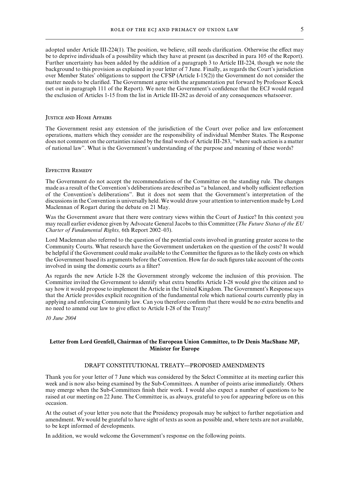adopted under Article III-224(1). The position, we believe, still needs clarification. Otherwise the effect may be to deprive individuals of a possibility which they have at present (as described in para 105 of the Report). Further uncertainty has been added by the addition of a paragraph 3 to Article III-224, though we note the background to this provision as explained in your letter of 7 June. Finally, as regards the Court's jurisdiction over Member States' obligations to support the CFSP (Article I-15(2)) the Government do not consider the matter needs to be clarified. The Government agree with the argumentation put forward by Professor Koeck (set out in paragraph 111 of the Report). We note the Government's confidence that the ECJ would regard the exclusion of Articles 1-15 from the list in Article III-282 as devoid of any consequences whatsoever.

#### Justice and Home Affairs

The Government resist any extension of the jurisdiction of the Court over police and law enforcement operations, matters which they consider are the responsibility of individual Member States. The Response does not comment on the certainties raised by the final words of Article III-283, "where such action is a matter of national law". What is the Government's understanding of the purpose and meaning of these words?

#### Effective Remedy

The Government do not accept the recommendations of the Committee on the standing rule. The changes made as a result of the Convention's deliberations are described as "a balanced, and wholly sufficient reflection of the Convention's deliberations". But it does not seem that the Government's interpretation of the discussions in the Convention is universally held. We would draw your attention to intervention made by Lord Maclennan of Rogart during the debate on 21 May.

Was the Government aware that there were contrary views within the Court of Justice? In this context you may recall earlier evidence given by Advocate General Jacobs to this Committee (*The Future Status of the EU Charter of Fundamental Rights,* 6th Report 2002–03).

Lord Maclennan also referred to the question of the potential costs involved in granting greater access to the Community Courts. What research have the Government undertaken on the question of the costs? It would be helpful if the Government could make available to the Committee the figures as to the likely costs on which the Government based its arguments before the Convention. How far do such figures take account of the costs involved in using the domestic courts as a filter?

As regards the new Article I-28 the Government strongly welcome the inclusion of this provision. The Committee invited the Government to identify what extra benefits Article I-28 would give the citizen and to say how it would propose to implement the Article in the United Kingdom. The Government's Response says that the Article provides explicit recognition of the fundamental role which national courts currently play in applying and enforcing Community law. Can you therefore confirm that there would be no extra benefits and no need to amend our law to give effect to Article I-28 of the Treaty?

*10 June 2004*

# **Letter from Lord Grenfell, Chairman of the European Union Committee, to Dr Denis MacShane MP, Minister for Europe**

#### DRAFT CONSTITUTIONAL TREATY-PROPOSED AMENDMENTS

Thank you for your letter of 7 June which was considered by the Select Committee at its meeting earlier this week and is now also being examined by the Sub-Committees. A number of points arise immediately. Others may emerge when the Sub-Committees finish their work. I would also expect a number of questions to be raised at our meeting on 22 June. The Committee is, as always, grateful to you for appearing before us on this occasion.

At the outset of your letter you note that the Presidency proposals may be subject to further negotiation and amendment. We would be grateful to have sight of texts as soon as possible and, where texts are not available, to be kept informed of developments.

In addition, we would welcome the Government's response on the following points.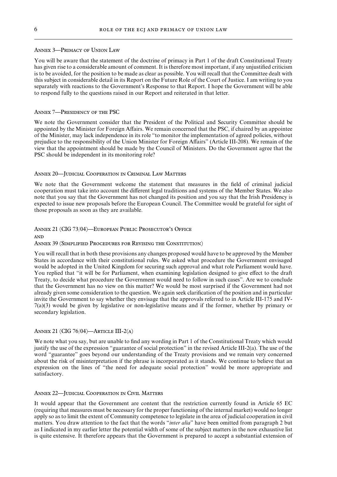#### Annex 3—Primacy of Union Law

You will be aware that the statement of the doctrine of primacy in Part 1 of the draft Constitutional Treaty has given rise to a considerable amount of comment. It is therefore most important, if any unjustified criticism is to be avoided, for the position to be made as clear as possible. You will recall that the Committee dealt with this subject in considerable detail in its Report on the Future Role of the Court of Justice. I am writing to you separately with reactions to the Government's Response to that Report. I hope the Government will be able to respond fully to the questions raised in our Report and reiterated in that letter.

#### Annex 7—Presidency of the PSC

We note the Government consider that the President of the Political and Security Committee should be appointed by the Minister for Foreign Affairs. We remain concerned that the PSC, if chaired by an appointee of the Minister, may lack independence in its role "to monitor the implementation of agreed policies, without prejudice to the responsibility of the Union Minister for Foreign AVairs" (Article III-208). We remain of the view that the appointment should be made by the Council of Ministers. Do the Government agree that the PSC should be independent in its monitoring role?

#### Annex 20—Judicial Cooperation in Criminal Law Matters

We note that the Government welcome the statement that measures in the field of criminal judicial cooperation must take into account the different legal traditions and systems of the Member States. We also note that you say that the Government has not changed its position and you say that the Irish Presidency is expected to issue new proposals before the European Council. The Committee would be grateful for sight of those proposals as soon as they are available.

Annex 21 (CIG 73/04)—European Public Prosecutor's Office and Annex 39 (Simplified Procedures for Revising the Constitution)

You will recall that in both these provisions any changes proposed would have to be approved by the Member States in accordance with their constitutional rules. We asked what procedure the Government envisaged would be adopted in the United Kingdom for securing such approval and what role Parliament would have. You replied that "it will be for Parliament, when examining legislation designed to give effect to the draft Treaty, to decide what procedure the Government would need to follow in such cases". Are we to conclude that the Government has no view on this matter? We would be most surprised if the Government had not already given some consideration to the question. We again seek clarification of the position and in particular invite the Government to say whether they envisage that the approvals referred to in Article III-175 and IV-7(a)(3) would be given by legislative or non-legislative means and if the former, whether by primary or secondary legislation.

# Annex 21 (CIG 76/04)—Article III-2(a)

We note what you say, but are unable to find any wording in Part 1 of the Constitutional Treaty which would justify the use of the expression "guarantee of social protection" in the revised Article III-2(a). The use of the word "guarantee" goes beyond our understanding of the Treaty provisions and we remain very concerned about the risk of misinterpretation if the phrase is incorporated as it stands. We continue to believe that an expression on the lines of "the need for adequate social protection" would be more appropriate and satisfactory.

# Annex 22—Judicial Cooperation in Civil Matters

It would appear that the Government are content that the restriction currently found in Article 65 EC (requiring that measures must be necessary for the proper functioning of the internal market) would no longer apply so as to limit the extent of Community competence to legislate in the area of judicial cooperation in civil matters. You draw attention to the fact that the words "*inter alia*" have been omitted from paragraph 2 but as I indicated in my earlier letter the potential width of some of the subject matters in the now exhaustive list is quite extensive. It therefore appears that the Government is prepared to accept a substantial extension of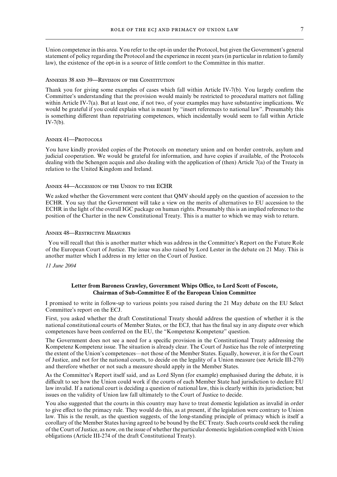Union competence in this area. You refer to the opt-in under the Protocol, but given the Government's general statement of policy regarding the Protocol and the experience in recent years (in particular in relation to family law), the existence of the opt-in is a source of little comfort to the Committee in this matter.

#### Annexes 38 and 39—Revision of the Constitution

Thank you for giving some examples of cases which fall within Article IV-7(b). You largely confirm the Committee's understanding that the provision would mainly be restricted to procedural matters not falling within Article IV-7(a). But at least one, if not two, of your examples may have substantive implications. We would be grateful if you could explain what is meant by "insert references to national law". Presumably this is something different than repatriating competences, which incidentally would seem to fall within Article IV-7(b).

#### ANNEX 41-PROTOCOLS

You have kindly provided copies of the Protocols on monetary union and on border controls, asylum and judicial cooperation. We would be grateful for information, and have copies if available, of the Protocols dealing with the Schengen acquis and also dealing with the application of (then) Article 7(a) of the Treaty in relation to the United Kingdom and Ireland.

#### Annex 44—Accession of the Union to the ECHR

We asked whether the Government were content that QMV should apply on the question of accession to the ECHR. You say that the Government will take a view on the merits of alternatives to EU accession to the ECHR in the light of the overall IGC package on human rights. Presumably this is an implied reference to the position of the Charter in the new Constitutional Treaty. This is a matter to which we may wish to return.

#### Annex 48—Restrictive Measures

You will recall that this is another matter which was address in the Committee's Report on the Future Role of the European Court of Justice. The issue was also raised by Lord Lester in the debate on 21 May. This is another matter which I address in my letter on the Court of Justice.

#### *11 June 2004*

# **Letter from Baroness Crawley, Government Whips Office, to Lord Scott of Foscote, Chairman of Sub-Committee E of the European Union Committee**

I promised to write in follow-up to various points you raised during the 21 May debate on the EU Select Committee's report on the ECJ.

First, you asked whether the draft Constitutional Treaty should address the question of whether it is the national constitutional courts of Member States, or the ECJ, that has the final say in any dispute over which competences have been conferred on the EU, the "Kompetenz Kompetenz" question.

The Government does not see a need for a specific provision in the Constitutional Treaty addressing the Kompetenz Kompetenz issue. The situation is already clear. The Court of Justice has the role of interpreting the extent of the Union's competences—not those of the Member States. Equally, however, it is for the Court of Justice, and not for the national courts, to decide on the legality of a Union measure (see Article III-270) and therefore whether or not such a measure should apply in the Member States.

As the Committee's Report itself said, and as Lord Slynn (for example) emphasised during the debate, it is difficult to see how the Union could work if the courts of each Member State had jurisdiction to declare EU law invalid. If a national court is deciding a question of national law, this is clearly within its jurisdiction; but issues on the validity of Union law fall ultimately to the Court of Justice to decide.

You also suggested that the courts in this country may have to treat domestic legislation as invalid in order to give effect to the primacy rule. They would do this, as at present, if the legislation were contrary to Union law. This is the result, as the question suggests, of the long-standing principle of primacy which is itself a corollary of the Member States having agreed to be bound by the EC Treaty. Such courts could seek the ruling of the Court of Justice, as now, on the issue of whether the particular domestic legislation complied with Union obligations (Article III-274 of the draft Constitutional Treaty).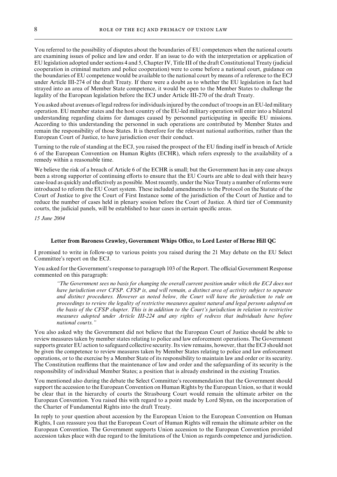You referred to the possibility of disputes about the boundaries of EU competences when the national courts are examining issues of police and law and order. If an issue to do with the interpretation or application of EU legislation adopted under sections 4 and 5, Chapter IV, Title III of the draft Constitutional Treaty (judicial cooperation in criminal matters and police cooperation) were to come before a national court, guidance on the boundaries of EU competence would be available to the national court by means of a reference to the ECJ under Article III-274 of the draft Treaty. If there were a doubt as to whether the EU legislation in fact had strayed into an area of Member State competence, it would be open to the Member States to challenge the legality of the European legislation before the ECJ under Article III-270 of the draft Treaty.

You asked about avenues of legal redress for individuals injured by the conduct of troops in an EU-led military operation. EU member states and the host country of the EU-led military operation will enter into a bilateral understanding regarding claims for damages caused by personnel participating in specific EU missions. According to this understanding the personnel in such operations are contributed by Member States and remain the responsibility of those States. It is therefore for the relevant national authorities, rather than the European Court of Justice, to have jurisdiction over their conduct.

Turning to the rule of standing at the ECJ, you raised the prospect of the EU finding itself in breach of Article 6 of the European Convention on Human Rights (ECHR), which refers expressly to the availability of a remedy within a reasonable time.

We believe the risk of a breach of Article 6 of the ECHR is small; but the Government has in any case always been a strong supporter of continuing efforts to ensure that the EU Courts are able to deal with their heavy case-load as quickly and effectively as possible. Most recently, under the Nice Treaty a number of reforms were introduced to reform the EU Court system. These included amendments to the Protocol on the Statute of the Court of Justice to give the Court of First Instance some of the jurisdiction of the Court of Justice and to reduce the number of cases held in plenary session before the Court of Justice. A third tier of Community courts, the judicial panels, will be established to hear cases in certain specific areas.

*15 June 2004*

# **Letter from Baroness Crawley, Government Whips Office, to Lord Lester of Herne Hill QC**

I promised to write in follow-up to various points you raised during the 21 May debate on the EU Select Committee's report on the ECJ.

You asked for the Government's response to paragraph 103 of the Report. The official Government Response commented on this paragraph:

*"The Government sees no basis for changing the overall current position under which the ECJ does not have jurisdiction over CFSP.CFSP is, and will remain, a distinct area of activity subject to separate and distinct procedures.However as noted below, the Court will have the jurisdiction to rule on proceedings to review the legality of restrictive measures against natural and legal persons adopted on the basis of the CFSP chapter.This is in addition to the Court's jurisdiction in relation to restrictive measures adopted under Article III-224 and any rights of redress that individuals have before national courts."*

You also asked why the Government did not believe that the European Court of Justice should be able to review measures taken by member states relating to police and law enforcement operations. The Government supports greater EU action to safeguard collective security. Its view remains, however, that the ECJ should not be given the competence to review measures taken by Member States relating to police and law enforcement operations, or to the exercise by a Member State of its responsibility to maintain law and order or its security. The Constitution reaffirms that the maintenance of law and order and the safeguarding of its security is the responsibility of individual Member States; a position that is already enshrined in the existing Treaties.

You mentioned also during the debate the Select Committee's recommendation that the Government should support the accession to the European Convention on Human Rights by the European Union, so that it would be clear that in the hierarchy of courts the Strasbourg Court would remain the ultimate arbiter on the European Convention. You raised this with regard to a point made by Lord Slynn, on the incorporation of the Charter of Fundamental Rights into the draft Treaty.

In reply to your question about accession by the European Union to the European Convention on Human Rights, I can reassure you that the European Court of Human Rights will remain the ultimate arbiter on the European Convention. The Government supports Union accession to the European Convention provided accession takes place with due regard to the limitations of the Union as regards competence and jurisdiction.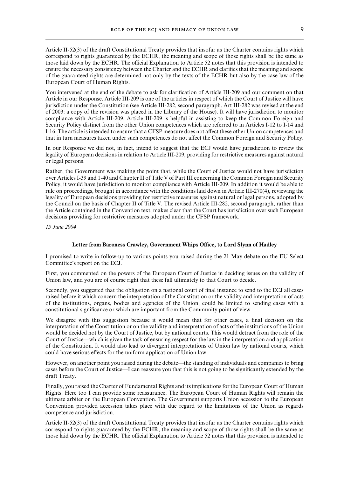Article II-52(3) of the draft Constitutional Treaty provides that insofar as the Charter contains rights which correspond to rights guaranteed by the ECHR, the meaning and scope of those rights shall be the same as those laid down by the ECHR. The official Explanation to Article 52 notes that this provision is intended to ensure the necessary consistency between the Charter and the ECHR and clarifies that the meaning and scope of the guaranteed rights are determined not only by the texts of the ECHR but also by the case law of the European Court of Human Rights.

You intervened at the end of the debate to ask for clarification of Article III-209 and our comment on that Article in our Response. Article III-209 is one of the articles in respect of which the Court of Justice will have jurisdiction under the Constitution (see Article III-282, second paragraph. Art III-282 was revised at the end of 2003: a copy of the revision was placed in the Library of the House). It will have jurisdiction to monitor compliance with Article III-209. Article III-209 is helpful in assisting to keep the Common Foreign and Security Policy distinct from the other Union competences which are referred to in Articles I-12 to I-14 and I-16. The article is intended to ensure that a CFSP measure does not affect these other Union competences and that in turn measures taken under such competences do not affect the Common Foreign and Security Policy.

In our Response we did not, in fact, intend to suggest that the ECJ would have jurisdiction to review the legality of European decisions in relation to Article III-209, providing for restrictive measures against natural or legal persons.

Rather, the Government was making the point that, while the Court of Justice would not have jurisdiction over Articles I-39 and 1-40 and Chapter II of Title V of Part III concerning the Common Foreign and Security Policy, it would have jurisdiction to monitor compliance with Article III-209. In addition it would be able to rule on proceedings, brought in accordance with the conditions laid down in Article III-270(4), reviewing the legality of European decisions providing for restrictive measures against natural or legal persons, adopted by the Council on the basis of Chapter II of Title V. The revised Article III-282, second paragraph, rather than the Article contained in the Convention text, makes clear that the Court has jurisdiction over such European decisions providing for restrictive measures adopted under the CFSP framework.

*15 June 2004*

# **Letter from Baroness Crawley, Government Whips Office, to Lord Slynn of Hadley**

I promised to write in follow-up to various points you raised during the 21 May debate on the EU Select Committee's report on the ECJ.

First, you commented on the powers of the European Court of Justice in deciding issues on the validity of Union law, and you are of course right that these fall ultimately to that Court to decide.

Secondly, you suggested that the obligation on a national court of final instance to send to the ECJ all cases raised before it which concern the interpretation of the Constitution or the validity and interpretation of acts of the institutions, organs, bodies and agencies of the Union, could be limited to sending cases with a constitutional significance or which are important from the Community point of view.

We disagree with this suggestion because it would mean that for other cases, a final decision on the interpretation of the Constitution or on the validity and interpretation of acts of the institutions of the Union would be decided not by the Court of Justice, but by national courts. This would detract from the role of the Court of Justice—which is given the task of ensuring respect for the law in the interpretation and application of the Constitution. It would also lead to divergent interpretations of Union law by national courts, which could have serious effects for the uniform application of Union law.

However, on another point you raised during the debate—the standing of individuals and companies to bring cases before the Court of Justice—I can reassure you that this is not going to be significantly extended by the draft Treaty.

Finally, you raised the Charter of Fundamental Rights and its implications for the European Court of Human Rights. Here too I can provide some reassurance. The European Court of Human Rights will remain the ultimate arbiter on the European Convention. The Government supports Union accession to the European Convention provided accession takes place with due regard to the limitations of the Union as regards competence and jurisdiction.

Article II-52(3) of the draft Constitutional Treaty provides that insofar as the Charter contains rights which correspond to rights guaranteed by the ECHR, the meaning and scope of those rights shall be the same as those laid down by the ECHR. The official Explanation to Article 52 notes that this provision is intended to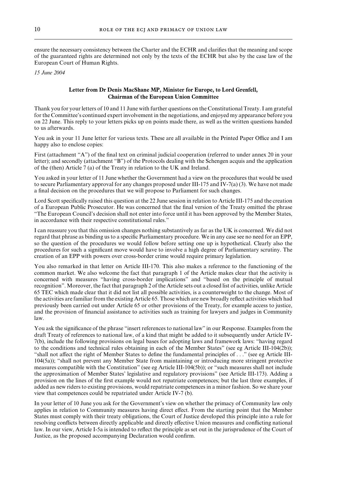ensure the necessary consistency between the Charter and the ECHR and clarifies that the meaning and scope of the guaranteed rights are determined not only by the texts of the ECHR but also by the case law of the European Court of Human Rights.

*15 June 2004*

# **Letter from Dr Denis MacShane MP, Minister for Europe, to Lord Grenfell, Chairman of the European Union Committee**

Thank you for your letters of 10 and 11 June with further questions on the Constitutional Treaty. I am grateful for the Committee's continued expert involvement in the negotiations, and enjoyed my appearance before you on 22 June. This reply to your letters picks up on points made there, as well as the written questions handed to us afterwards.

You ask in your 11 June letter for various texts. These are all available in the Printed Paper Office and I am happy also to enclose copies:

First (attachment "A") of the final text on criminal judicial cooperation (referred to under annex 20 in your letter); and secondly (attachment "B") of the Protocols dealing with the Schengen acquis and the application of the (then) Article 7 (a) of the Treaty in relation to the UK and Ireland.

You asked in your letter of 11 June whether the Government had a view on the procedures that would be used to secure Parliamentary approval for any changes proposed under III-175 and IV-7(a) (3). We have not made a final decision on the procedures that we will propose to Parliament for such changes.

Lord Scott specifically raised this question at the 22 June session in relation to Article III-175 and the creation of a European Public Prosecutor. He was concerned that the final version of the Treaty omitted the phrase "The European Council's decision shall not enter into force until it has been approved by the Member States, in accordance with their respective constitutional rules."

I can reassure you that this omission changes nothing substantively as far as the UK is concerned. We did not regard that phrase as binding us to a specific Parliamentary procedure. We in any case see no need for an EPP, so the question of the procedures we would follow before setting one up is hypothetical. Clearly also the procedures for such a significant move would have to involve a high degree of Parliamentary scrutiny. The creation of an EPP with powers over cross-border crime would require primary legislation.

You also remarked in that letter on Article III-170. This also makes a reference to the functioning of the common market. We also welcome the fact that paragraph 1 of the Article makes clear that the activity is concerned with measures "having cross-border implications" and "based on the principle of mutual recognition". Moreover, the fact that paragraph 2 of the Article sets out a closed list of activities, unlike Article 65 TEC which made clear that it did not list all possible activities, is a counterweight to the change. Most of the activities are familiar from the existing Article 65. Those which are new broadly reflect activities which had previously been carried out under Article 65 or other provisions of the Treaty, for example access to justice, and the provision of financial assistance to activities such as training for lawyers and judges in Community law.

You ask the significance of the phrase "insert references to national law" in our Response. Examples from the draft Treaty of references to national law, of a kind that might be added to it subsequently under Article IV-7(b), include the following provisions on legal bases for adopting laws and framework laws: "having regard to the conditions and technical rules obtaining in each of the Member States" (see eg Article III-104(2b)); "shall not affect the right of Member States to define the fundamental principles of . . ." (see eg Article III-104(5a)); "shall not prevent any Member State from maintaining or introducing more stringent protective measures compatible with the Constitution" (see eg Article III-104(5b)); or "such measures shall not include the approximation of Member States' legislative and regulatory provisions" (see Article III-173). Adding a provision on the lines of the first example would not repatriate competences; but the last three examples, if added as new riders to existing provisions, would repatriate competences in a minor fashion. So we share your view that competences could be repatriated under Article IV-7 (b).

In your letter of 10 June you ask for the Government's view on whether the primacy of Community law only applies in relation to Community measures having direct effect. From the starting point that the Member States must comply with their treaty obligations, the Court of Justice developed this principle into a rule for resolving conflicts between directly applicable and directly effective Union measures and conflicting national law. In our view, Article I-5a is intended to reflect the principle as set out in the jurisprudence of the Court of Justice, as the proposed accompanying Declaration would confirm.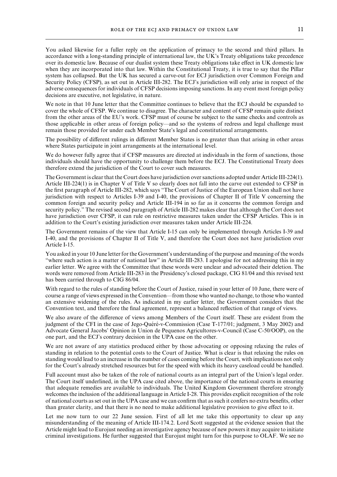You asked likewise for a fuller reply on the application of primacy to the second and third pillars. In accordance with a long-standing principle of international law, the UK's Treaty obligations take precedence over its domestic law. Because of our dualist system these Treaty obligations take effect in UK domestic law when they are incorporated into that law. Within the Constitutional Treaty, it is true to say that the Pillar system has collapsed. But the UK has secured a carve-out for ECJ jurisdiction over Common Foreign and Security Policy (CFSP), as set out in Article III-282. The ECJ's jurisdiction will only arise in respect of the adverse consequences for individuals of CFSP decisions imposing sanctions. In any event most foreign policy decisions are executive, not legislative, in nature.

We note in that 10 June letter that the Committee continues to believe that the ECJ should be expanded to cover the whole of CFSP. We continue to disagree. The character and content of CFSP remain quite distinct from the other areas of the EU's work. CFSP must of course be subject to the same checks and controls as those applicable in other areas of foreign policy—and so the systems of redress and legal challenge must remain those provided for under each Member State's legal and constitutional arrangements.

The possibility of different rulings in different Member States is no greater than that arising in other areas where States participate in joint arrangements at the international level.

We do however fully agree that if CFSP measures are directed at individuals in the form of sanctions, those individuals should have the opportunity to challenge them before the ECJ. The Constitutional Treaty does therefore extend the jurisdiction of the Court to cover such measures.

The Government is clear that the Court does have jurisdiction over sanctions adopted under Article III-224(1). Article III-224(1) is in Chapter V of Title V so clearly does not fall into the carve out extended to CFSP in the first paragraph of Article III-282, which says "The Court of Justice of the European Union shall not have jurisdiction with respect to Articles I-39 and I-40, the provisions of Chapter II of Title V concerning the common foreign and security policy and Article III-194 in so far as it concerns the common foreign and security policy." The revised second paragraph of Article III-282 makes clear that although the Cort does not have jurisdiction over CFSP, it can rule on restrictive measures taken under the CFSP Articles. This is in addition to the Court's existing jurisdiction over measures taken under Article III-224.

The Government remains of the view that Article I-15 can only be implemented through Articles I-39 and I-40, and the provisions of Chapter II of Title V, and therefore the Court does not have jurisdiction over Article I-15.

You asked in your 10 June letter for the Government's understanding of the purpose and meaning of the words "where such action is a matter of national law" in Article III-283. I apologise for not addressing this in my earlier letter. We agree with the Committee that these words were unclear and advocated their deletion. The words were removed from Article III-283 in the Presidency's closed package, CIG 81/04 and this revised text has been carried through to CIG 86/04.

With regard to the rules of standing before the Court of Justice, raised in your letter of 10 June, there were of course a range of views expressed in the Convention—from those who wanted no change, to those who wanted an extensive widening of the rules. As indicated in my earlier letter, the Government considers that the Convention text, and therefore the final agreement, represent a balanced reflection of that range of views.

We also aware of the difference of views among Members of the Court itself. These are evident from the judgment of the CFI in the case of Jego-Quéré-v-Commission (Case T-177/01; judgment, 3 May 2002) and Advocate General Jacobs' Opinion in Union de Pequenos Agricultores-v-Council (Case C-50/OOP), on the one part, and the ECJ's contrary decision in the UPA case on the other.

We are not aware of any statistics produced either by those advocating or opposing relaxing the rules of standing in relation to the potential costs to the Court of Justice. What is clear is that relaxing the rules on standing would lead to an increase in the number of cases coming before the Court, with implications not only for the Court's already stretched resources but for the speed with which its heavy caseload could be handled.

Full account must also be taken of the role of national courts as an integral part of the Union's legal order. The Court itself underlined, in the UPA case cited above, the importance of the national courts in ensuring that adequate remedies are available to individuals. The United Kingdom Government therefore strongly welcomes the inclusion of the additional language in Article I-28. This provides explicit recognition of the role of national courts as set out in the UPA case and we can confirm that as such it confers no extra benefits, other than greater clarity, and that there is no need to make additional legislative provision to give effect to it.

Let me now turn to our 22 June session. First of all let me take this opportunity to clear up any misunderstanding of the meaning of Article III-174.2. Lord Scott suggested at the evidence session that the Article might lead to Eurojust needing an investigative agency because of new powers it may acquire to initiate criminal investigations. He further suggested that Eurojust might turn for this purpose to OLAF. We see no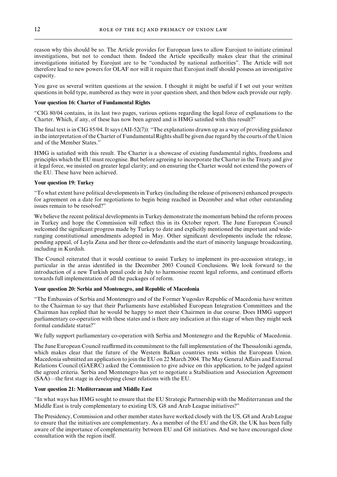reason why this should be so. The Article provides for European laws to allow Eurojust to initiate criminal investigations, but not to conduct them. Indeed the Article specifically makes clear that the criminal investigations initiated by Eurojust are to be "conducted by national authorities". The Article will not therefore lead to new powers for OLAF nor will it require that Eurojust itself should possess an investigative capacity.

You gave us several written questions at the session. I thought it might be useful if I set out your written questions in bold type, numbered as they were in your question sheet, and then below each provide our reply.

# **Your question 16: Charter of Fundamental Rights**

"CIG 80/04 contains, in its last two pages, various options regarding the legal force of explanations to the Charter. Which, if any, of these has now been agreed and is HMG satisfied with this result?"

The final text is in CIG 85/04. It says (AII-52(7)): "The explanations drawn up as a way of providing guidance in the interpretation of the Charter of Fundamental Rights shall be given due regard by the courts of the Union and of the Member States."

HMG is satisfied with this result. The Charter is a showcase of existing fundamental rights, freedoms and principles which the EU must recognise. But before agreeing to incorporate the Charter in the Treaty and give it legal force, we insisted on greater legal clarity; and on ensuring the Charter would not extend the powers of the EU. These have been achieved.

# **Your question 19: Turkey**

"To what extent have political developments in Turkey (including the release of prisoners) enhanced prospects for agreement on a date for negotiations to begin being reached in December and what other outstanding issues remain to be resolved?"

We believe the recent political developments in Turkey demonstrate the momentum behind the reform process in Turkey and hope the Commission will reflect this in its October report. The June European Council welcomed the significant progress made by Turkey to date and explicitly mentioned the important and wideranging constitutional amendments adopted in May. Other significant developments include the release, pending appeal, of Leyla Zana and her three co-defendants and the start of minority language broadcasting, including in Kurdish.

The Council reiterated that it would continue to assist Turkey to implement its pre-accession strategy, in particular in the areas identified in the December 2003 Council Conclusions. We look forward to the introduction of a new Turkish penal code in July to harmonise recent legal reforms, and continued efforts towards full implementation of all the packages of reform.

#### **Your question 20: Serbia and Montenegro, and Republic of Macedonia**

"The Embassies of Serbia and Montenegro and of the Former Yugoslav Republic of Macedonia have written to the Chairman to say that their Parliaments have established European Integration Committees and the Chairman has replied that he would be happy to meet their Chairmen in due course. Does HMG support parliamentary co-operation with these states and is there any indication at this stage of when they might seek formal candidate status?"

We fully support parliamentary co-operation with Serbia and Montenegro and the Republic of Macedonia.

The June European Council reaffirmed its commitment to the full implementation of the Thessaloniki agenda, which makes clear that the future of the Western Balkan countries rests within the European Union. Macedonia submitted an application to join the EU on 22 March 2004. The May General Affairs and External Relations Council (GAERC) asked the Commission to give advice on this application, to be judged against the agreed criteria. Serbia and Montenegro has yet to negotiate a Stabilisation and Association Agreement (SAA)—the first stage in developing closer relations with the EU.

#### **Your question 21: Mediterranean and Middle East**

"In what ways has HMG sought to ensure that the EU Strategic Partnership with the Mediterranean and the Middle East is truly complementary to existing US, G8 and Arab League initiatives?"

The Presidency, Commission and other member states have worked closely with the US, G8 and Arab League to ensure that the initiatives are complementary. As a member of the EU and the G8, the UK has been fully aware of the importance of complementarity between EU and G8 initiatives. And we have encouraged close consultation with the region itself.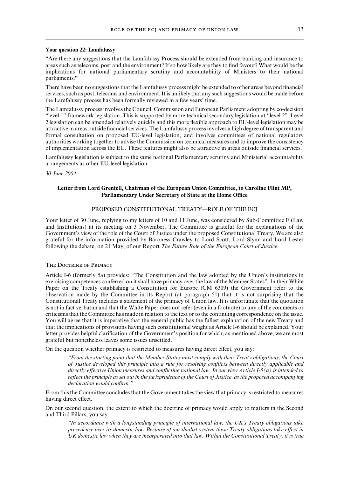#### **Your question 22: Lamfalussy**

"Are there any suggestions that the Lamfalussy Process should be extended from banking and insurance to areas such as telecoms, post and the environment? If so how likely are they to find favour? What would be the implications for national parliamentary scrutiny and accountability of Ministers to their national parliaments?"

There have been no suggestions that the Lamfalussy process might be extended to other areas beyond financial services, such as post, telecoms and environment. It is unlikely that any such suggestions would be made before the Lamfalussy process has been formally reviewed in a few years' time.

The Lamfalussy process involves the Council, Commission and European Parliament adopting by co-decision "level 1" framework legislation. This is supported by more technical secondary legislation at "level 2". Level 2 legislation can be amended relatively quickly and this more flexible approach to EU-level legislation may be attractive in areas outside financial services. The Lamfalussy process involves a high degree of transparent and formal consultation on proposed EU-level legislation, and involves committees of national regulatory authorities working together to advise the Commission on technical measures and to improve the consistency of implementation across the EU. These features might also be attractive in areas outside financial services.

Lamfalussy legislation is subject to the same national Parliamentary scrutiny and Ministerial accountability arrangements as other EU-level legislation.

#### *30 June 2004*

# **Letter from Lord Grenfell, Chairman of the European Union Committee, to Caroline Flint MP, Parliamentary Under Secretary of State at the Home Office**

# PROPOSED CONSTITUTIONAL TREATY—ROLE OF THE ECJ

Your letter of 30 June, replying to my letters of 10 and 11 June, was considered by Sub-Committee E (Law and Institutions) at its meeting on 3 November. The Committee is grateful for the explanations of the Government's view of the role of the Court of Justice under the proposed Constitutional Treaty. We are also grateful for the information provided by Baroness Crawley to Lord Scott, Lord Slynn and Lord Lester following the debate, on 21 May, of our Report *The Future Role of the European Court of Justice*.

# The Doctrine of Primacy

Article I-6 (formerly 5a) provides: "The Constitution and the law adopted by the Union's institutions in exercising competences conferred on it shall have primacy over the law of the Member States". In their White Paper on the Treaty establishing a Constitution for Europe (CM 6309) the Government refer to the observation made by the Committee in its Report (at paragraph 51) that it is not surprising that the Constitutional Treaty includes a statement of the primacy of Union law. It is unfortunate that the quotation is not in fact verbatim and that the White Paper does not refer (even in a footnote) to any of the comments or criticisms that the Committee has made in relation to the text or to the continuing correspondence on the issue. You will agree that it is imperative that the general public has the fullest explanation of the new Treaty and that the implications of provisions having such constitutional weight as Article I-6 should be explained. Your letter provides helpful clarification of the Government's position for which, as mentioned above, we are most grateful but nonetheless leaves some issues unsettled.

On the question whether primacy is restricted to measures having direct effect, you say:

*"From the starting point that the Member States must comply with their Treaty obligations, the Court of Justice developed this principle into a rule for resolving conflicts between directly applicable and directly eVective Union measures and conflicting national law.In our view Article I-5(a) is intended to reflect the principle as set out in the jurisprudence of the Court of Justice, as the proposed accompanying declaration would confirm."*

From this the Committee concludes that the Government takes the view that primacy is restricted to measures having direct effect.

On our second question, the extent to which the doctrine of primacy would apply to matters in the Second and Third Pillars, you say:

*"In accordance with a longstanding principle of international law, the UK's Treaty obligations take precedence over its domestic law. Because of our dualist system these Treaty obligations take effect in UK domestic law when they are incorporated into that law.Within the Constitutional Treaty, it is true*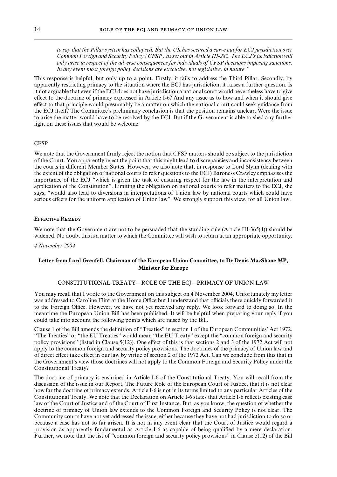*to say that the Pillar system has collapsed.But the UK has secured a carve out for ECJ jurisdiction over Common Foreign and Security Policy (CFSP) as set out in Article III-282.The ECJ's jurisdiction will only arise in respect of the adverse consequences for individuals of CFSP decisions imposing sanctions. In any event most foreign policy decisions are executive, not legislative, in nature."*

This response is helpful, but only up to a point. Firstly, it fails to address the Third Pillar. Secondly, by apparently restricting primacy to the situation where the ECJ has jurisdiction, it raises a further question. Is it not arguable that even if the ECJ does not have jurisdiction a national court would nevertheless have to give effect to the doctrine of primacy expressed in Article I-6? And any issue as to how and when it should give effect to that principle would presumably be a matter on which the national court could seek guidance from the ECJ itself? The Committee's preliminary conclusion is that the position remains unclear. Were the issue to arise the matter would have to be resolved by the ECJ. But if the Government is able to shed any further light on these issues that would be welcome.

#### CFSP

We note that the Government firmly reject the notion that CFSP matters should be subject to the jurisdiction of the Court. You apparently reject the point that this might lead to discrepancies and inconsistency between the courts in different Member States. However, we also note that, in response to Lord Slynn (dealing with the extent of the obligation of national courts to refer questions to the ECJ) Baroness Crawley emphasises the importance of the ECJ "which is given the task of ensuring respect for the law in the interpretation and application of the Constitution". Limiting the obligation on national courts to refer matters to the ECJ, she says, "would also lead to diversions in interpretations of Union law by national courts which could have serious effects for the uniform application of Union law". We strongly support this view, for all Union law.

#### Effective Remedy

We note that the Government are not to be persuaded that the standing rule (Article III-365(4)) should be widened. No doubt this is a matter to which the Committee will wish to return at an appropriate opportunity.

#### *4 November 2004*

# **Letter from Lord Grenfell, Chairman of the European Union Committee, to Dr Denis MacShane MP, Minister for Europe**

#### CONSTITUTIONAL TREATY—ROLE OF THE ECJ—PRIMACY OF UNION LAW

You may recall that I wrote to the Government on this subject on 4 November 2004. Unfortunately my letter was addressed to Caroline Flint at the Home Office but I understand that officials there quickly forwarded it to the Foreign Office. However, we have not yet received any reply. We look forward to doing so. In the meantime the European Union Bill has been published. It will be helpful when preparing your reply if you could take into account the following points which are raised by the Bill.

Clause 1 of the Bill amends the definition of "Treaties" in section 1 of the European Communities' Act 1972. "The Treaties" or "the EU Treaties" would mean "the EU Treaty" except the "common foreign and security policy provisions" (listed in Clause 5(12)). One effect of this is that sections 2 and 3 of the 1972 Act will not apply to the common foreign and security policy provisions. The doctrines of the primacy of Union law and of direct effect take effect in our law by virtue of section 2 of the 1972 Act. Can we conclude from this that in the Government's view those doctrines will not apply to the Common Foreign and Security Policy under the Constitutional Treaty?

The doctrine of primacy is enshrined in Article I-6 of the Constitutional Treaty. You will recall from the discussion of the issue in our Report, The Future Role of the European Court of Justice, that it is not clear how far the doctrine of primacy extends. Article I-6 is not in its terms limited to any particular Articles of the Constitutional Treaty. We note that the Declaration on Article I-6 states that Article I-6 reflects existing case law of the Court of Justice and of the Court of First Instance. But, as you know, the question of whether the doctrine of primacy of Union law extends to the Common Foreign and Security Policy is not clear. The Community courts have not yet addressed the issue, either because they have not had jurisdiction to do so or because a case has not so far arisen. It is not in any event clear that the Court of Justice would regard a provision as apparently fundamental as Article I-6 as capable of being qualified by a mere declaration. Further, we note that the list of "common foreign and security policy provisions" in Clause 5(12) of the Bill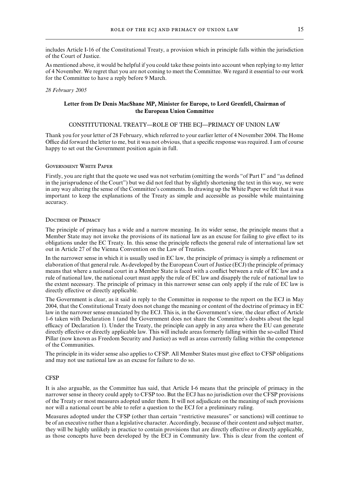includes Article I-16 of the Constitutional Treaty, a provision which in principle falls within the jurisdiction of the Court of Justice.

As mentioned above, it would be helpful if you could take these points into account when replying to my letter of 4 November. We regret that you are not coming to meet the Committee. We regard it essential to our work for the Committee to have a reply before 9 March.

#### *28 February 2005*

# **Letter from Dr Denis MacShane MP, Minister for Europe, to Lord Grenfell, Chairman of the European Union Committee**

# CONSTITUTIONAL TREATY—ROLE OF THE ECJ—PRIMACY OF UNION LAW

Thank you for your letter of 28 February, which referred to your earlier letter of 4 November 2004. The Home Office did forward the letter to me, but it was not obvious, that a specific response was required. I am of course happy to set out the Government position again in full.

#### Government White Paper

Firstly, you are right that the quote we used was not verbatim (omitting the words "of Part I" and "as defined in the jurisprudence of the Court") but we did not feel that by slightly shortening the text in this way, we were in any way altering the sense of the Committee's comments. In drawing up the White Paper we felt that it was important to keep the explanations of the Treaty as simple and accessible as possible while maintaining accuracy.

# Doctrine of Primacy

The principle of primacy has a wide and a narrow meaning. In its wider sense, the principle means that a Member State may not invoke the provisions of its national law as an excuse for failing to give effect to its obligations under the EC Treaty. In. this sense the principle reflects the general rule of international law set out in Article 27 of the Vienna Convention on the Law of Treaties.

In the narrower sense in which it is usually used in EC law, the principle of primacy is simply a refinement or elaboration of that general rule. As developed by the European Court of Justice (ECJ) the principle of primacy means that where a national court in a Member State is faced with a conflict between a rule of EC law and a rule of national law, the national court must apply the rule of EC law and disapply the rule of national law to the extent necessary. The principle of primacy in this narrower sense can only apply if the rule of EC law is directly effective or directly applicable.

The Government is clear, as it said in reply to the Committee in response to the report on the ECJ in May 2004, that the Constitutional Treaty does not change the meaning or content of the doctrine of primacy in EC law in the narrower sense enunciated by the ECJ. This is, in the Government's view, the clear effect of Article 1-6 taken with Declaration 1 (and the Government does not share the Committee's doubts about the legal efficacy of Declaration 1). Under the Treaty, the principle can apply in any area where the EU can generate directly effective or directly applicable law. This will include areas formerly falling within the so-called Third Pillar (now known as Freedom Security and Justice) as well as areas currently falling within the competence of the Communities.

The principle in its wider sense also applies to CFSP. All Member States must give effect to CFSP obligations and may not use national law as an excuse for failure to do so.

# CFSP

It is also arguable, as the Committee has said, that Article I-6 means that the principle of primacy in the narrower sense in theory could apply to CFSP too. But the ECJ has no jurisdiction over the CFSP provisions of the Treaty or most measures adopted under them. It will not adjudicate on the meaning of such provisions nor will a national court be able to refer a question to the ECJ for a preliminary ruling.

Measures adopted under the CFSP (other than certain "restrictive measures" or sanctions) will continue to be of an executive rather than a legislative character. Accordingly, because of their content and subject matter, they will be highly unlikely in practice to contain provisions that are directly effective or directly applicable, as those concepts have been developed by the ECJ in Community law. This is clear from the content of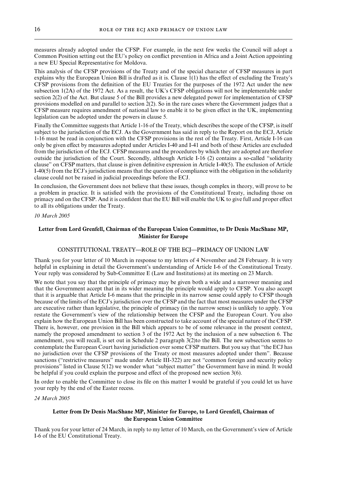measures already adopted under the CFSP. For example, in the next few weeks the Council will adopt a Common Position setting out the EU's policy on conflict prevention in Africa and a Joint Action appointing a new EU Special Representative for Moldova.

This analysis of the CFSP provisions of the Treaty and of the special character of CFSP measures in part explains why the European Union Bill is drafted as it is. Clause  $1(1)$  has the effect of excluding the Treaty's CFSP provisions from the definition of the EU Treaties for the purposes of the 1972 Act under the new subsection 1(2A) of the 1972 Act. As a result, the UK's CFSP obligations will not be implementable under section 2(2) of the Act. But clause 5 of the Bill provides a new delegated power for implementation of CFSP provisions modelled on and parallel to section 2(2). So in the rare cases where the Government judges that a CFSP measure requires amendment of national law to enable it to be given effect in the UK, implementing legislation can be adopted under the powers in clause 5.

Finally the Committee suggests that Article 1-16 of the Treaty, which describes the scope of the CFSP, is itself subject to the jurisdiction of the ECJ. As the Government has said in reply to the Report on the ECJ, Article 1-16 must be read in conjunction with the CFSP provisions in the rest of the Treaty. First, Article I-16 can only be given effect by measures adopted under Articles I-40 and I-41 and both of these Articles are excluded from the jurisdiction of the ECJ. CFSP measures and the procedures by which they are adopted are therefore outside the jurisdiction of the Court. Secondly, although Article I-16 (2) contains a so-called "solidarity clause" on CFSP matters, that clause is given definitive expression in Article I-40(5). The exclusion of Article I-40(5) from the ECJ's jurisdiction means that the question of compliance with the obligation in the solidarity clause could not be raised in judicial proceedings before the ECJ.

In conclusion, the Government does not believe that these issues, though complex in theory, will prove to be a problem in practice. It is satisfied with the provisions of the Constitutional Treaty, including those on primacy and on the CFSP. And it is confident that the EU Bill will enable the UK to give full and proper effect to all its obligations under the Treaty.

*10 March 2005*

# **Letter from Lord Grenfell, Chairman of the European Union Committee, to Dr Denis MacShane MP, Minister for Europe**

# CONSTITUTIONAL TREATY—ROLE OF THE ECJ—PRIMACY OF UNION LAW

Thank you for your letter of 10 March in response to my letters of 4 November and 28 February. It is very helpful in explaining in detail the Government's understanding of Article I-6 of the Constitutional Treaty. Your reply was considered by Sub-Committee E (Law and Institutions) at its meeting on 23 March.

We note that you say that the principle of primacy may be given both a wide and a narrower meaning and that the Government accept that in its wider meaning the principle would apply to CFSP. You also accept that it is arguable that Article I-6 means that the principle in its narrow sense could apply to CFSP though because of the limits of the ECJ's jurisdiction over the CFSP and the fact that most measures under the CFSP are executive rather than legislative, the principle of primacy (in the narrow sense) is unlikely to apply. You restate the Government's view of the relationship between the CFSP and the European Court. You also explain how the European Union Bill has been constructed to take account of the special nature of the CFSP. There is, however, one provision in the Bill which appears to be of some relevance in the present context, namely the proposed amendment to section 3 of the 1972 Act by the inclusion of a new subsection 6. The amendment, you will recall, is set out in Schedule 2 paragraph 3(2)to the Bill. The new subsection seems to contemplate the European Court having jurisdiction over some CFSP matters. But you say that "the ECJ has no jurisdiction over the CFSP provisions of the Treaty or most measures adopted under them". Because sanctions ("restrictive measures" made under Article III-322) are not "common foreign and security policy provisions" listed in Clause 5(12) we wonder what "subject matter" the Government have in mind. It would be helpful if you could explain the purpose and effect of the proposed new section  $3(6)$ .

In order to enable the Committee to close its file on this matter I would be grateful if you could let us have your reply by the end of the Easter recess.

*24 March 2005*

# **Letter from Dr Denis MacShane MP, Minister for Europe, to Lord Grenfell, Chairman of the European Union Committee**

Thank you for your letter of 24 March, in reply to my letter of 10 March, on the Government's view of Article I-6 of the EU Constitutional Treaty.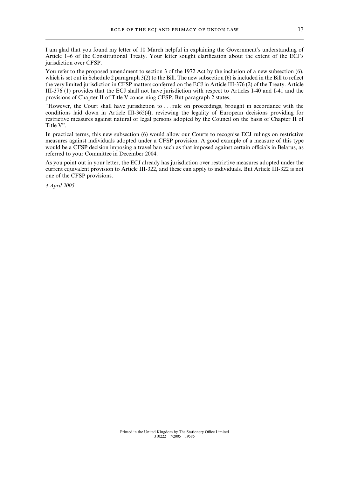I am glad that you found my letter of 10 March helpful in explaining the Government's understanding of Article 1–6 of the Constitutional Treaty. Your letter sought clarification about the extent of the ECJ's jurisdiction over CFSP.

You refer to the proposed amendment to section 3 of the 1972 Act by the inclusion of a new subsection  $(6)$ , which is set out in Schedule 2 paragraph 3(2) to the Bill. The new subsection (6) is included in the Bill to reflect the very limited jurisdiction in CFSP matters conferred on the ECJ in Article III-376 (2) of the Treaty. Article III-376 (1) provides that the ECJ shall not have jurisdiction with respect to Articles I-40 and I-41 and the provisions of Chapter II of Title V concerning CFSP. But paragraph 2 states,

"However, the Court shall have jurisdiction to . . . rule on proceedings, brought in accordance with the conditions laid down in Article III-365(4), reviewing the legality of European decisions providing for restrictive measures against natural or legal persons adopted by the Council on the basis of Chapter II of Title V".

In practical terms, this new subsection (6) would allow our Courts to recognise ECJ rulings on restrictive measures against individuals adopted under a CFSP provision. A good example of a measure of this type would be a CFSP decision imposing a travel ban such as that imposed against certain officials in Belarus, as referred to your Committee in December 2004.

As you point out in your letter, the ECJ already has jurisdiction over restrictive measures adopted under the current equivalent provision to Article III-322, and these can apply to individuals. But Article III-322 is not one of the CFSP provisions.

*4 April 2005*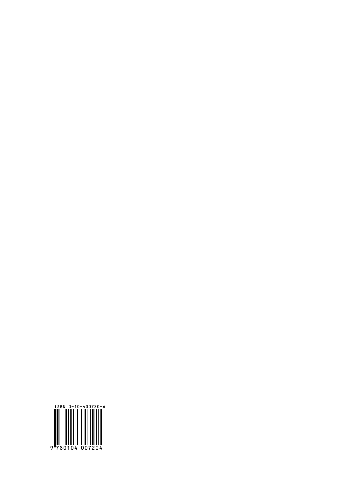